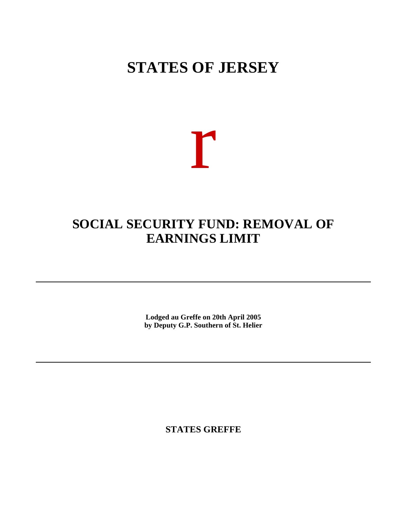## **STATES OF JERSEY**

# r

## **SOCIAL SECURITY FUND: REMOVAL OF EARNINGS LIMIT**

**Lodged au Greffe on 20th April 2005 by Deputy G.P. Southern of St. Helier**

**STATES GREFFE**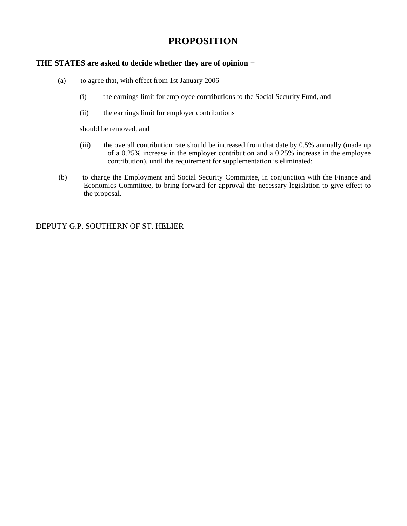### **PROPOSITION**

#### **THE STATES are asked to decide whether they are of opinion**

- (a) to agree that, with effect from 1st January  $2006 -$ 
	- (i) the earnings limit for employee contributions to the Social Security Fund, and
	- (ii) the earnings limit for employer contributions

should be removed, and

- (iii) the overall contribution rate should be increased from that date by 0.5% annually (made up of a 0.25% increase in the employer contribution and a 0.25% increase in the employee contribution), until the requirement for supplementation is eliminated;
- (b) to charge the Employment and Social Security Committee, in conjunction with the Finance and Economics Committee, to bring forward for approval the necessary legislation to give effect to the proposal.

DEPUTY G.P. SOUTHERN OF ST. HELIER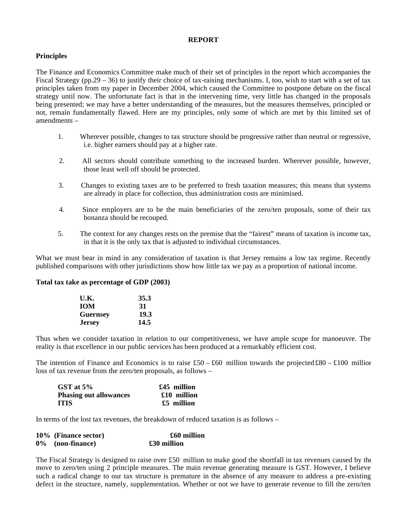#### **REPORT**

#### **Principles**

The Finance and Economics Committee make much of their set of principles in the report which accompanies the Fiscal Strategy (pp.29 – 36) to justify their choice of tax-raising mechanisms. I, too, wish to start with a set of tax principles taken from my paper in December 2004, which caused the Committee to postpone debate on the fiscal strategy until now. The unfortunate fact is that in the intervening time, very little has changed in the proposals being presented; we may have a better understanding of the measures, but the measures themselves, principled or not, remain fundamentally flawed. Here are my principles, only some of which are met by this limited set of amendments –

- 1. Wherever possible, changes to tax structure should be progressive rather than neutral or regressive, i.e. higher earners should pay at a higher rate.
- 2. All sectors should contribute something to the increased burden. Wherever possible, however, those least well off should be protected.
- 3. Changes to existing taxes are to be preferred to fresh taxation measures; this means that systems are already in place for collection, thus administration costs are minimised.
- 4. Since employers are to be the main beneficiaries of the zero/ten proposals, some of their tax bonanza should be recouped.
- 5. The context for any changes rests on the premise that the "fairest" means of taxation is income tax, in that it is the only tax that is adjusted to individual circumstances.

What we must bear in mind in any consideration of taxation is that Jersey remains a low tax regime. Recently published comparisons with other jurisdictions show how little tax we pay as a proportion of national income.

#### **Total tax take as percentage of GDP (2003)**

| U.K.            | 35.3 |
|-----------------|------|
| <b>IOM</b>      | 31   |
| <b>Guernsey</b> | 19.3 |
| <b>Jersey</b>   | 14.5 |

Thus when we consider taxation in relation to our competitiveness, we have ample scope for manoeuvre. The reality is that excellence in our public services has been produced at a remarkably efficient cost.

The intention of Finance and Economics is to raise  $\text{\pounds}50 - \text{\pounds}60$  million towards the projected  $\text{\pounds}80 - \text{\pounds}100$  million loss of tax revenue from the zero/ten proposals, as follows –

| GST at $5\%$                  | $£45$ million |
|-------------------------------|---------------|
| <b>Phasing out allowances</b> | £10 million   |
| <b>ITIS</b>                   | $£5$ million  |

In terms of the lost tax revenues, the breakdown of reduced taxation is as follows –

| 10% (Finance sector) | £60 million |
|----------------------|-------------|
| 0% (non-finance)     | £30 million |

The Fiscal Strategy is designed to raise over £50 million to make good the shortfall in tax revenues caused by the move to zero/ten using 2 principle measures. The main revenue generating measure is GST. However, I believe such a radical change to our tax structure is premature in the absence of any measure to address a pre-existing defect in the structure, namely, supplementation. Whether or not we have to generate revenue to fill the zero/ten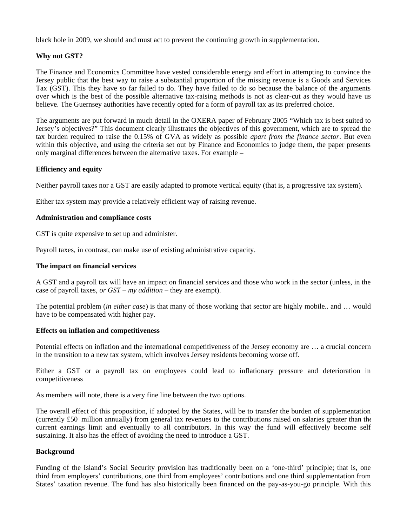black hole in 2009, we should and must act to prevent the continuing growth in supplementation.

#### **Why not GST?**

The Finance and Economics Committee have vested considerable energy and effort in attempting to convince the Jersey public that the best way to raise a substantial proportion of the missing revenue is a Goods and Services Tax (GST). This they have so far failed to do. They have failed to do so because the balance of the arguments over which is the best of the possible alternative tax-raising methods is not as clear-cut as they would have us believe. The Guernsey authorities have recently opted for a form of payroll tax as its preferred choice.

The arguments are put forward in much detail in the OXERA paper of February 2005 "Which tax is best suited to Jersey's objectives?" This document clearly illustrates the objectives of this government, which are to spread the tax burden required to raise the 0.15% of GVA as widely as possible *apart from the finance sector*. But even within this objective, and using the criteria set out by Finance and Economics to judge them, the paper presents only marginal differences between the alternative taxes. For example –

#### **Efficiency and equity**

Neither payroll taxes nor a GST are easily adapted to promote vertical equity (that is, a progressive tax system).

Either tax system may provide a relatively efficient way of raising revenue.

#### **Administration and compliance costs**

GST is quite expensive to set up and administer.

Payroll taxes, in contrast, can make use of existing administrative capacity.

#### **The impact on financial services**

A GST and a payroll tax will have an impact on financial services and those who work in the sector (unless, in the case of payroll taxes, *or GST – my addition –* they are exempt).

The potential problem (*in either case*) is that many of those working that sector are highly mobile.. and … would have to be compensated with higher pay.

#### **Effects on inflation and competitiveness**

Potential effects on inflation and the international competitiveness of the Jersey economy are … a crucial concern in the transition to a new tax system, which involves Jersey residents becoming worse off.

Either a GST or a payroll tax on employees could lead to inflationary pressure and deterioration in competitiveness

As members will note, there is a very fine line between the two options.

The overall effect of this proposition, if adopted by the States, will be to transfer the burden of supplementation (currently £50 million annually) from general tax revenues to the contributions raised on salaries greater than the current earnings limit and eventually to all contributors. In this way the fund will effectively become self sustaining. It also has the effect of avoiding the need to introduce a GST.

#### **Background**

Funding of the Island's Social Security provision has traditionally been on a 'one-third' principle; that is, one third from employers' contributions, one third from employees' contributions and one third supplementation from States' taxation revenue. The fund has also historically been financed on the pay-as-you-go principle. With this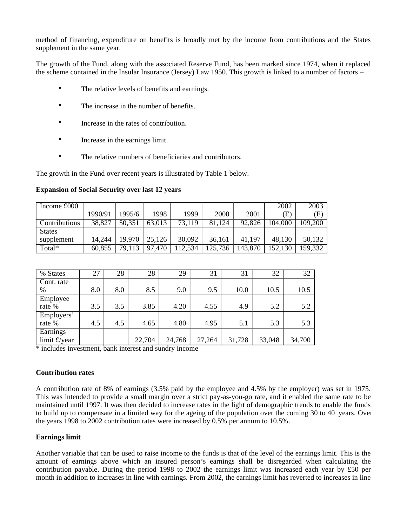method of financing, expenditure on benefits is broadly met by the income from contributions and the States supplement in the same year.

The growth of the Fund, along with the associated Reserve Fund, has been marked since 1974, when it replaced the scheme contained in the Insular Insurance (Jersey) Law 1950. This growth is linked to a number of factors –

- The relative levels of benefits and earnings.
- The increase in the number of benefits.
- Increase in the rates of contribution.
- Increase in the earnings limit.
- The relative numbers of beneficiaries and contributors.

The growth in the Fund over recent years is illustrated by Table 1 below.

| Income £000   |         |        |        |         |         |         | 2002    | 2003     |
|---------------|---------|--------|--------|---------|---------|---------|---------|----------|
|               | 1990/91 | 1995/6 | 1998   | 1999    | 2000    | 2001    | Œ)      | (E)      |
| Contributions | 38,827  | 50,351 | 63,013 | 73,119  | 81,124  | 92,826  | 104,000 | 109, 200 |
| <b>States</b> |         |        |        |         |         |         |         |          |
| supplement    | 14,244  | 19,970 | 25,126 | 30,092  | 36,161  | 41.197  | 48,130  | 50,132   |
| Total*        | 60,855  | 79,113 | 97,470 | 112,534 | 125,736 | 143,870 | 152,130 | 159,332  |

**Expansion of Social Security over last 12 years**

| % States                 | 27  | 28  | 28     | 29     | 31     | 31     | 32     | 32     |
|--------------------------|-----|-----|--------|--------|--------|--------|--------|--------|
| Cont. rate               |     |     |        |        |        |        |        |        |
| $\%$                     | 8.0 | 8.0 | 8.5    | 9.0    | 9.5    | 10.0   | 10.5   | 10.5   |
| Employee                 |     |     |        |        |        |        |        |        |
| rate %                   | 3.5 | 3.5 | 3.85   | 4.20   | 4.55   | 4.9    | 5.2    | 5.2    |
| Employers'               |     |     |        |        |        |        |        |        |
| rate %                   | 4.5 | 4.5 | 4.65   | 4.80   | 4.95   | 5.1    | 5.3    | 5.3    |
| Earnings<br>limit £/year |     |     | 22,704 | 24,768 | 27,264 | 31,728 | 33,048 | 34,700 |

\* includes investment, bank interest and sundry income

#### **Contribution rates**

A contribution rate of 8% of earnings (3.5% paid by the employee and 4.5% by the employer) was set in 1975. This was intended to provide a small margin over a strict pay-as-you-go rate, and it enabled the same rate to be maintained until 1997. It was then decided to increase rates in the light of demographic trends to enable the funds to build up to compensate in a limited way for the ageing of the population over the coming 30 to 40 years. Over the years 1998 to 2002 contribution rates were increased by  $0.5\%$  per annum to  $10.5\%$ .

#### **Earnings limit**

Another variable that can be used to raise income to the funds is that of the level of the earnings limit. This is the amount of earnings above which an insured person's earnings shall be disregarded when calculating the contribution payable. During the period 1998 to 2002 the earnings limit was increased each year by £50 per month in addition to increases in line with earnings. From 2002, the earnings limit has reverted to increases in line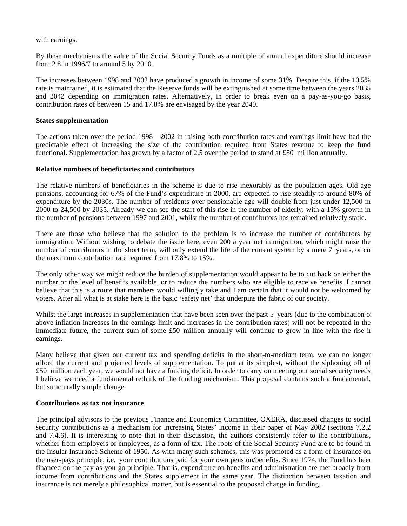with earnings.

By these mechanisms the value of the Social Security Funds as a multiple of annual expenditure should increase from 2.8 in 1996/7 to around 5 by 2010.

The increases between 1998 and 2002 have produced a growth in income of some 31%. Despite this, if the 10.5% rate is maintained, it is estimated that the Reserve funds will be extinguished at some time between the years 2035 and 2042 depending on immigration rates. Alternatively, in order to break even on a pay-as-you-go basis, contribution rates of between 15 and 17.8% are envisaged by the year 2040.

#### **States supplementation**

The actions taken over the period 1998 – 2002 in raising both contribution rates and earnings limit have had the predictable effect of increasing the size of the contribution required from States revenue to keep the fund functional. Supplementation has grown by a factor of 2.5 over the period to stand at £50 million annually.

#### **Relative numbers of beneficiaries and contributors**

The relative numbers of beneficiaries in the scheme is due to rise inexorably as the population ages. Old age pensions, accounting for 67% of the Fund's expenditure in 2000, are expected to rise steadily to around 80% of expenditure by the 2030s. The number of residents over pensionable age will double from just under 12,500 in 2000 to 24,500 by 2035. Already we can see the start of this rise in the number of elderly, with a 15% growth in the number of pensions between 1997 and 2001, whilst the number of contributors has remained relatively static.

There are those who believe that the solution to the problem is to increase the number of contributors by immigration. Without wishing to debate the issue here, even 200 a year net immigration, which might raise the number of contributors in the short term, will only extend the life of the current system by a mere 7 years, or cut the maximum contribution rate required from 17.8% to 15%.

The only other way we might reduce the burden of supplementation would appear to be to cut back on either the number or the level of benefits available, or to reduce the numbers who are eligible to receive benefits. I cannot believe that this is a route that members would willingly take and I am certain that it would not be welcomed by voters. After all what is at stake here is the basic 'safety net' that underpins the fabric of our society.

Whilst the large increases in supplementation that have been seen over the past 5 years (due to the combination of above inflation increases in the earnings limit and increases in the contribution rates) will not be repeated in the immediate future, the current sum of some £50 million annually will continue to grow in line with the rise in earnings.

Many believe that given our current tax and spending deficits in the short-to-medium term, we can no longer afford the current and projected levels of supplementation. To put at its simplest, without the siphoning off of £50 million each year, we would not have a funding deficit. In order to carry on meeting our social security needs, I believe we need a fundamental rethink of the funding mechanism. This proposal contains such a fundamental, but structurally simple change.

#### **Contributions as tax not insurance**

The principal advisors to the previous Finance and Economics Committee, OXERA, discussed changes to social security contributions as a mechanism for increasing States' income in their paper of May 2002 (sections 7.2.2 and 7.4.6). It is interesting to note that in their discussion, the authors consistently refer to the contributions, whether from employers or employees, as a form of tax. The roots of the Social Security Fund are to be found in the Insular Insurance Scheme of 1950. As with many such schemes, this was promoted as a form of insurance on the user-pays principle, i.e. your contributions paid for your own pension/benefits. Since 1974, the Fund has been financed on the pay-as-you-go principle. That is, expenditure on benefits and administration are met broadly from income from contributions and the States supplement in the same year. The distinction between taxation and insurance is not merely a philosophical matter, but is essential to the proposed change in funding.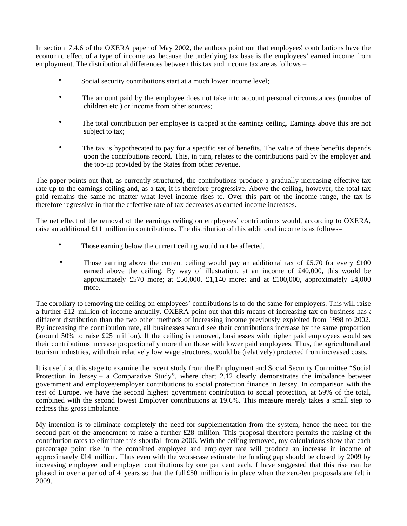In section 7.4.6 of the OXERA paper of May 2002, the authors point out that employees' contributions have the economic effect of a type of income tax because the underlying tax base is the employees' earned income from employment. The distributional differences between this tax and income tax are as follows –

- Social security contributions start at a much lower income level;
- The amount paid by the employee does not take into account personal circumstances (number of children etc.) or income from other sources;
- The total contribution per employee is capped at the earnings ceiling. Earnings above this are not subject to tax;
- The tax is hypothecated to pay for a specific set of benefits. The value of these benefits depends upon the contributions record. This, in turn, relates to the contributions paid by the employer and the top-up provided by the States from other revenue.

The paper points out that, as currently structured, the contributions produce a gradually increasing effective tax rate up to the earnings ceiling and, as a tax, it is therefore progressive. Above the ceiling, however, the total tax paid remains the same no matter what level income rises to. Over this part of the income range, the tax is therefore regressive in that the effective rate of tax decreases as earned income increases.

The net effect of the removal of the earnings ceiling on employees' contributions would, according to OXERA, raise an additional  $£11$  million in contributions. The distribution of this additional income is as follows-

- Those earning below the current ceiling would not be affected.
- Those earning above the current ceiling would pay an additional tax of £5.70 for every  $\pounds$ 100 earned above the ceiling. By way of illustration, at an income of £40,000, this would be approximately £570 more; at £50,000, £1,140 more; and at £100,000, approximately £4,000 more.

The corollary to removing the ceiling on employees' contributions is to do the same for employers. This will raise a further £12 million of income annually. OXERA point out that this means of increasing tax on business has  $\epsilon$ different distribution than the two other methods of increasing income previously exploited from 1998 to 2002. By increasing the contribution rate, all businesses would see their contributions increase by the same proportion (around 50% to raise £25 million). If the ceiling is removed, businesses with higher paid employees would see their contributions increase proportionally more than those with lower paid employees. Thus, the agricultural and tourism industries, with their relatively low wage structures, would be (relatively) protected from increased costs.

It is useful at this stage to examine the recent study from the Employment and Social Security Committee "Social Protection in Jersey – a Comparative Study", where chart 2.12 clearly demonstrates the imbalance between government and employee/employer contributions to social protection finance in Jersey. In comparison with the rest of Europe, we have the second highest government contribution to social protection, at 59% of the total, combined with the second lowest Employer contributions at 19.6%. This measure merely takes a small step to redress this gross imbalance.

My intention is to eliminate completely the need for supplementation from the system, hence the need for the second part of the amendment to raise a further £28 million. This proposal therefore permits the raising of the contribution rates to eliminate this shortfall from 2006. With the ceiling removed, my calculations show that each percentage point rise in the combined employee and employer rate will produce an increase in income of approximately £14 million. Thus even with the worst-case estimate the funding gap should be closed by 2009 by increasing employee and employer contributions by one per cent each. I have suggested that this rise can be phased in over a period of 4 years so that the full£50 million is in place when the zero/ten proposals are felt in 2009.